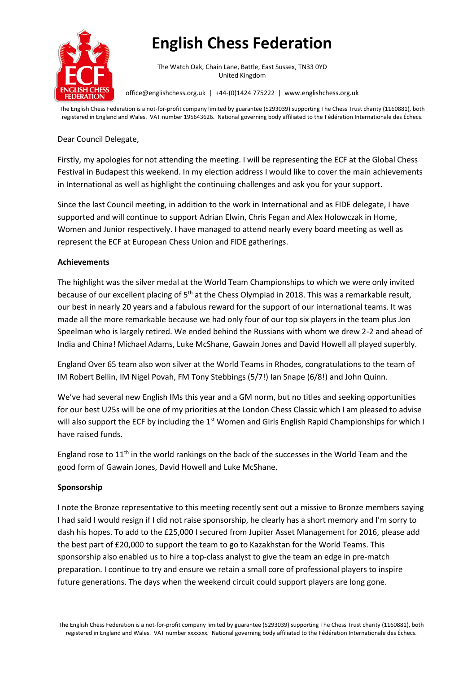

# **English Chess Federation**

The Watch Oak, Chain Lane, Battle, East Sussex, TN33 0YD United Kingdom

office@englishchess.org.uk | +44-(0)1424 775222 | www.englishchess.org.uk

The English Chess Federation is a not-for-profit company limited by guarantee (5293039) supporting The Chess Trust charity (1160881), both registered in England and Wales. VAT number 195643626. National governing body affiliated to the Fédération Internationale des Échecs.

## Dear Council Delegate,

Firstly, my apologies for not attending the meeting. I will be representing the ECF at the Global Chess Festival in Budapest this weekend. In my election address I would like to cover the main achievements in International as well as highlight the continuing challenges and ask you for your support.

Since the last Council meeting, in addition to the work in International and as FIDE delegate, I have supported and will continue to support Adrian Elwin, Chris Fegan and Alex Holowczak in Home, Women and Junior respectively. I have managed to attend nearly every board meeting as well as represent the ECF at European Chess Union and FIDE gatherings.

# **Achievements**

The highlight was the silver medal at the World Team Championships to which we were only invited because of our excellent placing of 5<sup>th</sup> at the Chess Olympiad in 2018. This was a remarkable result, our best in nearly 20 years and a fabulous reward for the support of our international teams. It was made all the more remarkable because we had only four of our top six players in the team plus Jon Speelman who is largely retired. We ended behind the Russians with whom we drew 2-2 and ahead of India and China! Michael Adams, Luke McShane, Gawain Jones and David Howell all played superbly.

England Over 65 team also won silver at the World Teams in Rhodes, congratulations to the team of IM Robert Bellin, IM Nigel Povah, FM Tony Stebbings (5/7!) Ian Snape (6/8!) and John Quinn.

We've had several new English IMs this year and a GM norm, but no titles and seeking opportunities for our best U25s will be one of my priorities at the London Chess Classic which I am pleased to advise will also support the ECF by including the 1<sup>st</sup> Women and Girls English Rapid Championships for which I have raised funds.

England rose to 11<sup>th</sup> in the world rankings on the back of the successes in the World Team and the good form of Gawain Jones, David Howell and Luke McShane.

## **Sponsorship**

I note the Bronze representative to this meeting recently sent out a missive to Bronze members saying I had said I would resign if I did not raise sponsorship, he clearly has a short memory and I'm sorry to dash his hopes. To add to the £25,000 I secured from Jupiter Asset Management for 2016, please add the best part of £20,000 to support the team to go to Kazakhstan for the World Teams. This sponsorship also enabled us to hire a top-class analyst to give the team an edge in pre-match preparation. I continue to try and ensure we retain a small core of professional players to inspire future generations. The days when the weekend circuit could support players are long gone.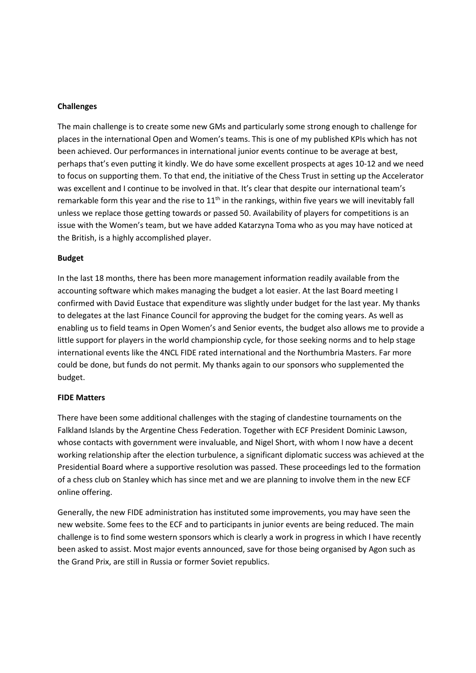## **Challenges**

The main challenge is to create some new GMs and particularly some strong enough to challenge for places in the international Open and Women's teams. This is one of my published KPIs which has not been achieved. Our performances in international junior events continue to be average at best, perhaps that's even putting it kindly. We do have some excellent prospects at ages 10-12 and we need to focus on supporting them. To that end, the initiative of the Chess Trust in setting up the Accelerator was excellent and I continue to be involved in that. It's clear that despite our international team's remarkable form this year and the rise to  $11<sup>th</sup>$  in the rankings, within five years we will inevitably fall unless we replace those getting towards or passed 50. Availability of players for competitions is an issue with the Women's team, but we have added Katarzyna Toma who as you may have noticed at the British, is a highly accomplished player.

### **Budget**

In the last 18 months, there has been more management information readily available from the accounting software which makes managing the budget a lot easier. At the last Board meeting I confirmed with David Eustace that expenditure was slightly under budget for the last year. My thanks to delegates at the last Finance Council for approving the budget for the coming years. As well as enabling us to field teams in Open Women's and Senior events, the budget also allows me to provide a little support for players in the world championship cycle, for those seeking norms and to help stage international events like the 4NCL FIDE rated international and the Northumbria Masters. Far more could be done, but funds do not permit. My thanks again to our sponsors who supplemented the budget.

#### **FIDE Matters**

There have been some additional challenges with the staging of clandestine tournaments on the Falkland Islands by the Argentine Chess Federation. Together with ECF President Dominic Lawson, whose contacts with government were invaluable, and Nigel Short, with whom I now have a decent working relationship after the election turbulence, a significant diplomatic success was achieved at the Presidential Board where a supportive resolution was passed. These proceedings led to the formation of a chess club on Stanley which has since met and we are planning to involve them in the new ECF online offering.

Generally, the new FIDE administration has instituted some improvements, you may have seen the new website. Some fees to the ECF and to participants in junior events are being reduced. The main challenge is to find some western sponsors which is clearly a work in progress in which I have recently been asked to assist. Most major events announced, save for those being organised by Agon such as the Grand Prix, are still in Russia or former Soviet republics.